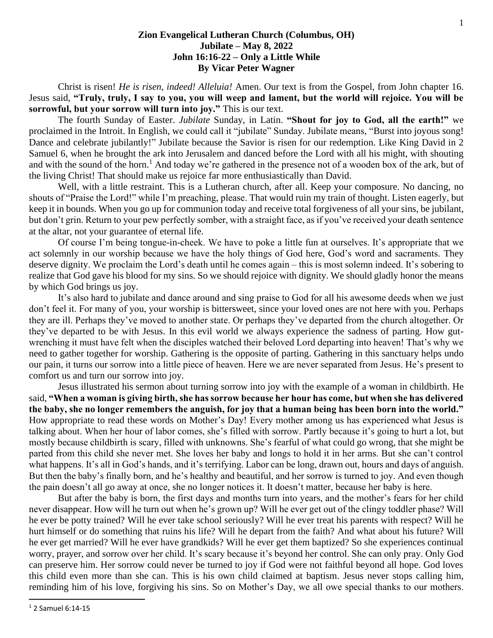## **Zion Evangelical Lutheran Church (Columbus, OH) Jubilate – May 8, 2022 John 16:16-22 – Only a Little While By Vicar Peter Wagner**

Christ is risen! *He is risen, indeed! Alleluia!* Amen. Our text is from the Gospel, from John chapter 16. Jesus said, **"Truly, truly, I say to you, you will weep and lament, but the world will rejoice. You will be sorrowful, but your sorrow will turn into joy."** This is our text.

The fourth Sunday of Easter. *Jubilate* Sunday, in Latin. **"Shout for joy to God, all the earth!"** we proclaimed in the Introit. In English, we could call it "jubilate" Sunday. Jubilate means, "Burst into joyous song! Dance and celebrate jubilantly!" Jubilate because the Savior is risen for our redemption. Like King David in 2 Samuel 6, when he brought the ark into Jerusalem and danced before the Lord with all his might, with shouting and with the sound of the horn.<sup>1</sup> And today we're gathered in the presence not of a wooden box of the ark, but of the living Christ! That should make us rejoice far more enthusiastically than David.

Well, with a little restraint. This is a Lutheran church, after all. Keep your composure. No dancing, no shouts of "Praise the Lord!" while I'm preaching, please. That would ruin my train of thought. Listen eagerly, but keep it in bounds. When you go up for communion today and receive total forgiveness of all your sins, be jubilant, but don't grin. Return to your pew perfectly somber, with a straight face, as if you've received your death sentence at the altar, not your guarantee of eternal life.

Of course I'm being tongue-in-cheek. We have to poke a little fun at ourselves. It's appropriate that we act solemnly in our worship because we have the holy things of God here, God's word and sacraments. They deserve dignity. We proclaim the Lord's death until he comes again – this is most solemn indeed. It's sobering to realize that God gave his blood for my sins. So we should rejoice with dignity. We should gladly honor the means by which God brings us joy.

It's also hard to jubilate and dance around and sing praise to God for all his awesome deeds when we just don't feel it. For many of you, your worship is bittersweet, since your loved ones are not here with you. Perhaps they are ill. Perhaps they've moved to another state. Or perhaps they've departed from the church altogether. Or they've departed to be with Jesus. In this evil world we always experience the sadness of parting. How gutwrenching it must have felt when the disciples watched their beloved Lord departing into heaven! That's why we need to gather together for worship. Gathering is the opposite of parting. Gathering in this sanctuary helps undo our pain, it turns our sorrow into a little piece of heaven. Here we are never separated from Jesus. He's present to comfort us and turn our sorrow into joy.

Jesus illustrated his sermon about turning sorrow into joy with the example of a woman in childbirth. He said, **"When a woman is giving birth, she has sorrow because her hour has come, but when she has delivered the baby, she no longer remembers the anguish, for joy that a human being has been born into the world."** How appropriate to read these words on Mother's Day! Every mother among us has experienced what Jesus is talking about. When her hour of labor comes, she's filled with sorrow. Partly because it's going to hurt a lot, but mostly because childbirth is scary, filled with unknowns. She's fearful of what could go wrong, that she might be parted from this child she never met. She loves her baby and longs to hold it in her arms. But she can't control what happens. It's all in God's hands, and it's terrifying. Labor can be long, drawn out, hours and days of anguish. But then the baby's finally born, and he's healthy and beautiful, and her sorrow is turned to joy. And even though the pain doesn't all go away at once, she no longer notices it. It doesn't matter, because her baby is here.

But after the baby is born, the first days and months turn into years, and the mother's fears for her child never disappear. How will he turn out when he's grown up? Will he ever get out of the clingy toddler phase? Will he ever be potty trained? Will he ever take school seriously? Will he ever treat his parents with respect? Will he hurt himself or do something that ruins his life? Will he depart from the faith? And what about his future? Will he ever get married? Will he ever have grandkids? Will he ever get them baptized? So she experiences continual worry, prayer, and sorrow over her child. It's scary because it's beyond her control. She can only pray. Only God can preserve him. Her sorrow could never be turned to joy if God were not faithful beyond all hope. God loves this child even more than she can. This is his own child claimed at baptism. Jesus never stops calling him, reminding him of his love, forgiving his sins. So on Mother's Day, we all owe special thanks to our mothers.

<sup>1</sup> 2 Samuel 6:14-15